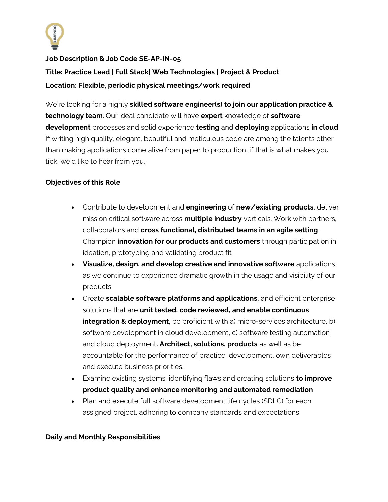

**Job Description & Job Code SE-AP-IN-05 Title: Practice Lead | Full Stack| Web Technologies | Project & Product Location: Flexible, periodic physical meetings/work required**

We're looking for a highly **skilled software engineer(s) to join our application practice & technology team**. Our ideal candidate will have **expert** knowledge of **software development** processes and solid experience **testing** and **deploying** applications **in cloud**. If writing high quality, elegant, beautiful and meticulous code are among the talents other than making applications come alive from paper to production, if that is what makes you tick, we'd like to hear from you.

## **Objectives of this Role**

- Contribute to development and **engineering** of **new/existing products**, deliver mission critical software across **multiple industry** verticals. Work with partners, collaborators and **cross functional, distributed teams in an agile setting**. Champion **innovation for our products and customers** through participation in ideation, prototyping and validating product fit
- **Visualize, design, and develop creative and innovative software** applications, as we continue to experience dramatic growth in the usage and visibility of our products
- Create **scalable software platforms and applications**, and efficient enterprise solutions that are **unit tested, code reviewed, and enable continuous integration & deployment,** be proficient with a) micro-services architecture, b) software development in cloud development, c) software testing automation and cloud deployment**. Architect, solutions, products** as well as be accountable for the performance of practice, development, own deliverables and execute business priorities.
- Examine existing systems, identifying flaws and creating solutions **to improve product quality and enhance monitoring and automated remediation**
- Plan and execute full software development life cycles (SDLC) for each assigned project, adhering to company standards and expectations

## **Daily and Monthly Responsibilities**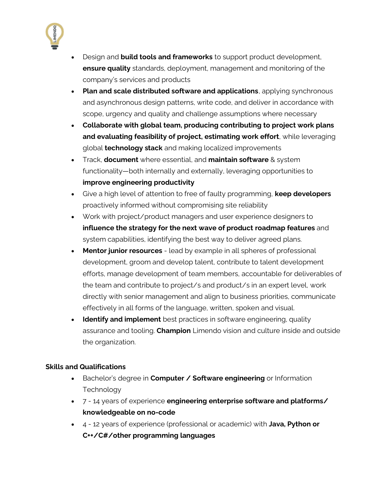

- Design and **build tools and frameworks** to support product development, **ensure quality** standards, deployment, management and monitoring of the company's services and products
- **Plan and scale distributed software and applications**, applying synchronous and asynchronous design patterns, write code, and deliver in accordance with scope, urgency and quality and challenge assumptions where necessary
- **Collaborate with global team, producing contributing to project work plans and evaluating feasibility of project, estimating work effort**, while leveraging global **technology stack** and making localized improvements
- Track, **document** where essential, and **maintain software** & system functionality—both internally and externally, leveraging opportunities to **improve engineering productivity**
- Give a high level of attention to free of faulty programming, **keep developers** proactively informed without compromising site reliability
- Work with project/product managers and user experience designers to **influence the strategy for the next wave of product roadmap features** and system capabilities, identifying the best way to deliver agreed plans.
- **Mentor junior resources** lead by example in all spheres of professional development, groom and develop talent, contribute to talent development efforts, manage development of team members, accountable for deliverables of the team and contribute to project/s and product/s in an expert level, work directly with senior management and align to business priorities, communicate effectively in all forms of the language, written, spoken and visual.
- **Identify and implement** best practices in software engineering, quality assurance and tooling. **Champion** Limendo vision and culture inside and outside the organization.

## **Skills and Qualifications**

- Bachelor's degree in **Computer / Software engineering** or Information **Technology**
- 7 14 years of experience **engineering enterprise software and platforms/ knowledgeable on no-code**
- 4 12 years of experience (professional or academic) with **Java, Python or C++/C#/other programming languages**